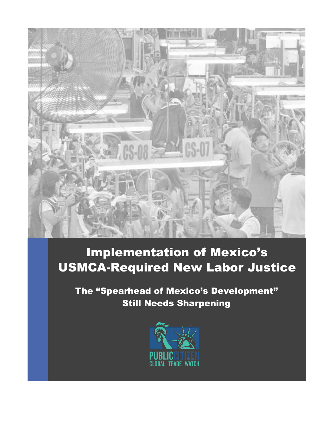

# Implementation of Mexico's USMCA-Required New Labor Justice

The "Spearhead of Mexico's Development" Still Needs Sharpening

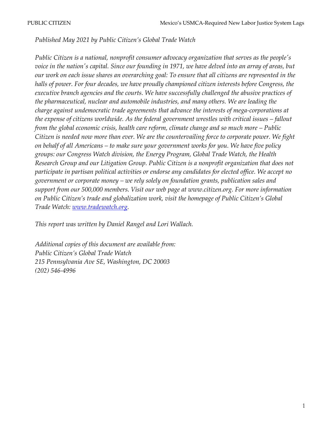*Published May 2021 by Public Citizen's Global Trade Watch*

*Public Citizen is a national, nonprofit consumer advocacy organization that serves as the people's voice in the nation's capital. Since our founding in 1971, we have delved into an array of areas, but our work on each issue shares an overarching goal: To ensure that all citizens are represented in the halls of power. For four decades, we have proudly championed citizen interests before Congress, the executive branch agencies and the courts. We have successfully challenged the abusive practices of the pharmaceutical, nuclear and automobile industries, and many others. We are leading the charge against undemocratic trade agreements that advance the interests of mega-corporations at the expense of citizens worldwide. As the federal government wrestles with critical issues – fallout from the global economic crisis, health care reform, climate change and so much more – Public Citizen is needed now more than ever. We are the countervailing force to corporate power. We fight on behalf of all Americans – to make sure your government works for you. We have five policy groups: our Congress Watch division, the Energy Program, Global Trade Watch, the Health Research Group and our Litigation Group. Public Citizen is a nonprofit organization that does not participate in partisan political activities or endorse any candidates for elected office. We accept no government or corporate money – we rely solely on foundation grants, publication sales and support from our 500,000 members. Visit our web page [at www.citizen.org. F](http://www.citizen.org/)or more information on Public Citizen's trade and globalization work, visit the homepage of Public Citizen's Global Trade Watch: [www.tradewatch.org.](http://www.tradewatch.org/)*

*This report was written by Daniel Rangel and Lori Wallach.* 

*Additional copies of this document are available from: Public Citizen's Global Trade Watch 215 Pennsylvania Ave SE, Washington, DC 20003 (202) 546-4996*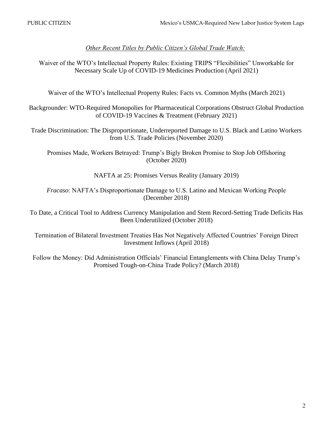# *Other Recent Titles by Public Citizen's Global Trade Watch:*

Waiver of the WTO's Intellectual Property Rules: Existing TRIPS "Flexibilities" Unworkable for Necessary Scale Up of COVID-19 Medicines Production (April 2021)

Waiver of the WTO's Intellectual Property Rules: Facts vs. Common Myths (March 2021)

Backgrounder: WTO-Required Monopolies for Pharmaceutical Corporations Obstruct Global Production of COVID-19 Vaccines & Treatment (February 2021)

Trade Discrimination: The Disproportionate, Underreported Damage to U.S. Black and Latino Workers from U.S. Trade Policies (November 2020)

Promises Made, Workers Betrayed: Trump's Bigly Broken Promise to Stop Job Offshoring (October 2020)

NAFTA at 25: Promises Versus Reality (January 2019)

*Fracaso*: NAFTA's Disproportionate Damage to U.S. Latino and Mexican Working People (December 2018)

To Date, a Critical Tool to Address Currency Manipulation and Stem Record-Setting Trade Deficits Has Been Underutilized (October 2018)

Termination of Bilateral Investment Treaties Has Not Negatively Affected Countries' Foreign Direct Investment Inflows (April 2018)

Follow the Money: Did Administration Officials' Financial Entanglements with China Delay Trump's Promised Tough-on-China Trade Policy? (March 2018)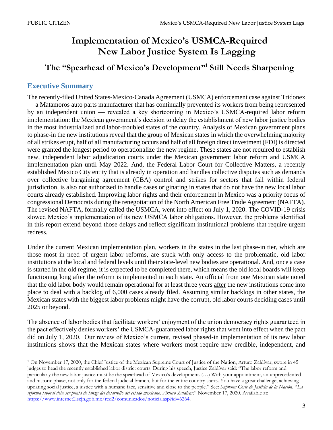# **Implementation of Mexico's USMCA-Required New Labor Justice System Is Lagging**

# **The "Spearhead of Mexico's Development"<sup>1</sup> Still Needs Sharpening**

# **Executive Summary**

The recently-filed United States-Mexico-Canada Agreement (USMCA) enforcement case against Tridonex — a Matamoros auto parts manufacturer that has continually prevented its workers from being represented by an independent union — revealed a key shortcoming in Mexico's USMCA-required labor reform implementation: the Mexican government's decision to delay the establishment of new labor justice bodies in the most industrialized and labor-troubled states of the country. Analysis of Mexican government plans to phase-in the new institutions reveal that the group of Mexican states in which the overwhelming majority of all strikes erupt, half of all manufacturing occurs and half of all foreign direct investment (FDI) is directed were granted the longest period to operationalize the new regime. These states are not required to establish new, independent labor adjudication courts under the Mexican government labor reform and USMCA implementation plan until May 2022. And, the Federal Labor Court for Collective Matters, a recently established Mexico City entity that is already in operation and handles collective disputes such as demands over collective bargaining agreement (CBA) control and strikes for sectors that fall within federal jurisdiction, is also not authorized to handle cases originating in states that do not have the new local labor courts already established. Improving labor rights and their enforcement in Mexico was a priority focus of congressional Democrats during the renegotiation of the North American Free Trade Agreement (NAFTA). The revised NAFTA, formally called the USMCA, went into effect on July 1, 2020. The COVID-19 crisis slowed Mexico's implementation of its new USMCA labor obligations. However, the problems identified in this report extend beyond those delays and reflect significant institutional problems that require urgent redress.

Under the current Mexican implementation plan, workers in the states in the last phase-in tier, which are those most in need of urgent labor reforms, are stuck with only access to the problematic, old labor institutions at the local and federal levels until their state-level new bodies are operational. And, once a case is started in the old regime, it is expected to be completed there, which means the old local boards will keep functioning long after the reform is implemented in each state. An official from one Mexican state noted that the old labor body would remain operational for at least three years after the new institutions come into place to deal with a backlog of 6,000 cases already filed. Assuming similar backlogs in other states, the Mexican states with the biggest labor problems might have the corrupt, old labor courts deciding cases until 2025 or beyond.

The absence of labor bodies that facilitate workers' enjoyment of the union democracy rights guaranteed in the pact effectively denies workers' the USMCA-guaranteed labor rights that went into effect when the pact did on July 1, 2020. Our review of Mexico's current, revised phased-in implementation of its new labor institutions shows that the Mexican states where workers most require new credible, independent, and

<sup>1</sup> On November 17, 2020, the Chief Justice of the Mexican Supreme Court of Justice of the Nation, Arturo Zaldívar, swore in 45 judges to head the recently established labor district courts. During his speech, Justice Zaldívar said: "The labor reform and particularly the new labor justice must be the spearhead of Mexico's development. (…) With your appointment, an unprecedented and historic phase, not only for the federal judicial branch, but for the entire country starts. You have a great challenge, achieving updating social justice, a justice with a humane face, sensitive and close to the people." See: *Suprema Corte de Justicia de la Nación*. "*La reforma laboral debe ser punta de lanza del desarrollo del estado mexicano: Arturo Zaldívar*." November 17, 2020. Available at: [https://www.internet2.scjn.gob.mx/red2/comunicados/noticia.asp?id=6264.](https://www.internet2.scjn.gob.mx/red2/comunicados/noticia.asp?id=6264)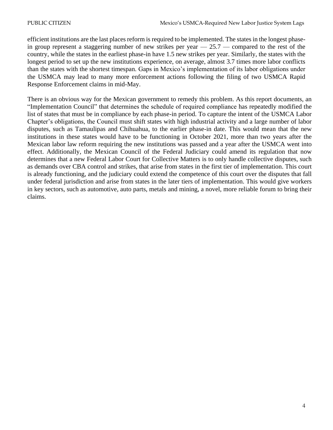efficient institutions are the last places reform is required to be implemented. The states in the longest phasein group represent a staggering number of new strikes per year  $-25.7$  - compared to the rest of the country, while the states in the earliest phase-in have 1.5 new strikes per year. Similarly, the states with the longest period to set up the new institutions experience, on average, almost 3.7 times more labor conflicts than the states with the shortest timespan. Gaps in Mexico's implementation of its labor obligations under the USMCA may lead to many more enforcement actions following the filing of two USMCA Rapid Response Enforcement claims in mid-May.

There is an obvious way for the Mexican government to remedy this problem. As this report documents, an "Implementation Council" that determines the schedule of required compliance has repeatedly modified the list of states that must be in compliance by each phase-in period. To capture the intent of the USMCA Labor Chapter's obligations, the Council must shift states with high industrial activity and a large number of labor disputes, such as Tamaulipas and Chihuahua, to the earlier phase-in date. This would mean that the new institutions in these states would have to be functioning in October 2021, more than two years after the Mexican labor law reform requiring the new institutions was passed and a year after the USMCA went into effect. Additionally, the Mexican Council of the Federal Judiciary could amend its regulation that now determines that a new Federal Labor Court for Collective Matters is to only handle collective disputes, such as demands over CBA control and strikes, that arise from states in the first tier of implementation. This court is already functioning, and the judiciary could extend the competence of this court over the disputes that fall under federal jurisdiction and arise from states in the later tiers of implementation. This would give workers in key sectors, such as automotive, auto parts, metals and mining, a novel, more reliable forum to bring their claims.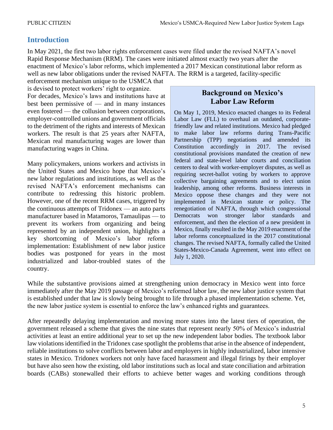# **Introduction**

In May 2021, the first two labor rights enforcement cases were filed under the revised NAFTA's novel Rapid Response Mechanism (RRM). The cases were initiated almost exactly two years after the enactment of Mexico's labor reforms, which implemented a 2017 Mexican constitutional labor reform as well as new labor obligations under the revised NAFTA. The RRM is a targeted, facility-specific

enforcement mechanism unique to the USMCA that is devised to protect workers' right to organize. For decades, Mexico's laws and institutions have at best been permissive of — and in many instances even fostered — the collusion between corporations, employer-controlled unions and government officials to the detriment of the rights and interests of Mexican workers. The result is that 25 years after NAFTA, Mexican real manufacturing wages are lower than manufacturing wages in China.

Many policymakers, unions workers and activists in the United States and Mexico hope that Mexico's new labor regulations and institutions, as well as the revised NAFTA's enforcement mechanisms can contribute to redressing this historic problem. However, one of the recent RRM cases, triggered by the continuous attempts of Tridonex — an auto parts manufacturer based in Matamoros, Tamaulipas — to prevent its workers from organizing and being represented by an independent union, highlights a key shortcoming of Mexico's labor reform implementation: Establishment of new labor justice bodies was postponed for years in the most industrialized and labor-troubled states of the country.

# **Background on Mexico's Labor Law Reform**

On May 1, 2019, Mexico enacted changes to its Federal Labor Law (FLL) to overhaul an outdated, corporatefriendly law and related institutions. Mexico had pledged to make labor law reforms during Trans-Pacific Partnership (TPP) negotiations and amended its Constitution accordingly in 2017. The revised constitutional provisions mandated the creation of new federal and state-level labor courts and conciliation centers to deal with worker-employer disputes, as well as requiring secret-ballot voting by workers to approve collective bargaining agreements and to elect union leadership, among other reforms. Business interests in Mexico oppose these changes and they were not implemented in Mexican statute or policy. The renegotiation of NAFTA, through which congressional Democrats won stronger labor standards and enforcement, and then the election of a new president in Mexico, finally resulted in the May 2019 enactment of the labor reforms conceptualized in the 2017 constitutional changes. The revised NAFTA, formally called the United States-Mexico-Canada Agreement, went into effect on July 1, 2020.

While the substantive provisions aimed at strengthening union democracy in Mexico went into force immediately after the May 2019 passage of Mexico's reformed labor law, the new labor justice system that is established under that law is slowly being brought to life through a phased implementation scheme. Yet, the new labor justice system is essential to enforce the law's enhanced rights and guarantees.

After repeatedly delaying implementation and moving more states into the latest tiers of operation, the government released a scheme that gives the nine states that represent nearly 50% of Mexico's industrial activities at least an entire additional year to set up the new independent labor bodies. The textbook labor law violations identified in the Tridonex case spotlight the problems that arise in the absence of independent, reliable institutions to solve conflicts between labor and employers in highly industrialized, labor intensive states in Mexico. Tridonex workers not only have faced harassment and illegal firings by their employer but have also seen how the existing, old labor institutions such as local and state conciliation and arbitration boards (CABs) stonewalled their efforts to achieve better wages and working conditions through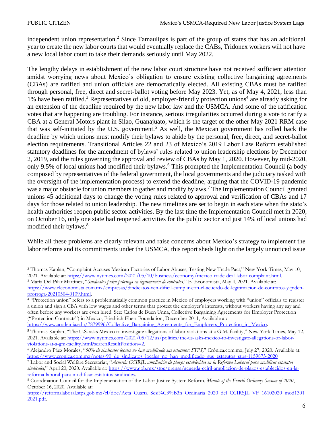independent union representation. <sup>2</sup> Since Tamaulipas is part of the group of states that has an additional year to create the new labor courts that would eventually replace the CABs, Tridonex workers will not have a new local labor court to take their demands seriously until May 2022.

The lengthy delays in establishment of the new labor court structure have not received sufficient attention amidst worrying news about Mexico's obligation to ensure existing collective bargaining agreements (CBAs) are ratified and union officials are democratically elected. All existing CBAs must be ratified through personal, free, direct and secret-ballot voting before May 2023. Yet, as of May 4, 2021, less than 1% have been ratified.<sup>3</sup> Representatives of old, employer-friendly protection unions<sup>4</sup> are already asking for an extension of the deadline required by the new labor law and the USMCA. And some of the ratification votes that are happening are troubling. For instance, serious irregularities occurred during a vote to ratify a CBA at a General Motors plant in Silao, Guanajuato, which is the target of the other May 2021 RRM case that was self-initiated by the U.S. government. <sup>5</sup> As well, the Mexican government has rolled back the deadline by which unions must modify their bylaws to abide by the personal, free, direct, and secret-ballot election requirements. Transitional Articles 22 and 23 of Mexico's 2019 Labor Law Reform established statutory deadlines for the amendment of bylaws' rules related to union leadership elections by December 2, 2019, and the rules governing the approval and review of CBAs by May 1, 2020. However, by mid-2020, only 9.5% of local unions had modified their bylaws.<sup>6</sup> This prompted the Implementation Council (a body composed by representatives of the federal government, the local governments and the judiciary tasked with the oversight of the implementation process) to extend the deadline, arguing that the COVID-19 pandemic was a major obstacle for union members to gather and modify bylaws.<sup>7</sup> The Implementation Council granted unions 45 additional days to change the voting rules related to approval and verification of CBAs and 17 days for those related to union leadership. The new timelines are set to begin in each state when the state's health authorities reopen public sector activities. By the last time the Implementation Council met in 2020, on October 16, only one state had reopened activities for the public sector and just 14% of local unions had modified their bylaws. 8

While all these problems are clearly relevant and raise concerns about Mexico's strategy to implement the labor reforms and its commitments under the USMCA, this report sheds light on the largely unnoticed issue

<sup>2</sup> Thomas Kaplan, "Complaint Accuses Mexican Factories of Labor Abuses, Testing New Trade Pact," New York Times, May 10, 2021. Available at[: https://www.nytimes.com/2021/05/10/business/economy/mexico-trade-deal-labor-complaint.html.](https://www.nytimes.com/2021/05/10/business/economy/mexico-trade-deal-labor-complaint.html)

<sup>3</sup> María Del Pilar Martínez, "*Sindicatos piden prórroga en legitimación de contratos*," El Economista, May 4, 2021. Available at: [https://www.eleconomista.com.mx/empresas/Sindicatos-ven-dificil-cumplir-con-el-acuerdo-de-legitimacion-de-contratos-y-piden](https://www.eleconomista.com.mx/empresas/Sindicatos-ven-dificil-cumplir-con-el-acuerdo-de-legitimacion-de-contratos-y-piden-prorroga-20210504-0109.html)[prorroga-20210504-0109.html.](https://www.eleconomista.com.mx/empresas/Sindicatos-ven-dificil-cumplir-con-el-acuerdo-de-legitimacion-de-contratos-y-piden-prorroga-20210504-0109.html)

<sup>&</sup>lt;sup>4</sup> "Protection union" refers to a problematically common practice in Mexico of employers working with "union" officials to register a union and sign a CBA with low wages and other terms that protect the employer's interests, without workers having any say and often before any workers are even hired. See: Carlos de Buen Unna, Collective Bargaining Agreements for Employer Protection ("Protection Contracts") in Mexico, Friedrich Ebert Foundation, December 2011, Available at:

[https://www.academia.edu/7879996/Collective\\_Bargaining\\_Agreements\\_for\\_Employers\\_Protection\\_in\\_Mexico.](https://www.academia.edu/7879996/Collective_Bargaining_Agreements_for_Employers_Protection_in_Mexico)

<sup>5</sup> Thomas Kaplan, "The U.S. asks Mexico to investigate allegations of labor violations at a G.M. facility," New York Times, May 12, 2021. Available at[: https://www.nytimes.com/2021/05/12/us/politics/the-us-asks-mexico-to-investigate-allegations-of-labor](https://www.nytimes.com/2021/05/12/us/politics/the-us-asks-mexico-to-investigate-allegations-of-labor-violations-at-a-gm-facility.html?searchResultPosition=2)[violations-at-a-gm-facility.html?searchResultPosition=2.](https://www.nytimes.com/2021/05/12/us/politics/the-us-asks-mexico-to-investigate-allegations-of-labor-violations-at-a-gm-facility.html?searchResultPosition=2)

<sup>6</sup> Alejandro Páez Morales, "*90% de sindicatos locales no han modificado sus estatutos: STPS,*" Crónica.com.mx, July 27, 2020. Available at: [https://www.cronica.com.mx/notas-90\\_de\\_sindicatos\\_locales\\_no\\_han\\_modificado\\_sus\\_estatutos\\_stps-1159873-2020](https://www.cronica.com.mx/notas-90_de_sindicatos_locales_no_han_modificado_sus_estatutos_stps-1159873-2020)

<sup>7</sup> Labor and Social Welfare Secretariat, "*Acuerda CCIRJL ampliación de plazos establecidos en la Reforma Laboral para modificar estatutos sindicales,*" April 20, 2020. Available at: [https://www.gob.mx/stps/prensa/acuerda-ccirjl-ampliacion-de-plazos-establecidos-en-la](https://www.gob.mx/stps/prensa/acuerda-ccirjl-ampliacion-de-plazos-establecidos-en-la-reforma-laboral-para-modificar-estatutos-sindicales)[reforma-laboral-para-modificar-estatutos-sindicales.](https://www.gob.mx/stps/prensa/acuerda-ccirjl-ampliacion-de-plazos-establecidos-en-la-reforma-laboral-para-modificar-estatutos-sindicales)

<sup>8</sup> Coordination Council for the Implementation of the Labor Justice System Reform, *Minute of the Fourth Ordinary Session of 2020*, October 16, 2020. Available at:

[https://reformalaboral.stps.gob.mx/rl/doc/Acta\\_Cuarta\\_Sesi%C3%B3n\\_Ordinaria\\_2020\\_del\\_CCIRSJL\\_VF\\_16102020\\_mod1301](https://reformalaboral.stps.gob.mx/rl/doc/Acta_Cuarta_Sesi%C3%B3n_Ordinaria_2020_del_CCIRSJL_VF_16102020_mod13012021.pdf) [2021.pdf.](https://reformalaboral.stps.gob.mx/rl/doc/Acta_Cuarta_Sesi%C3%B3n_Ordinaria_2020_del_CCIRSJL_VF_16102020_mod13012021.pdf)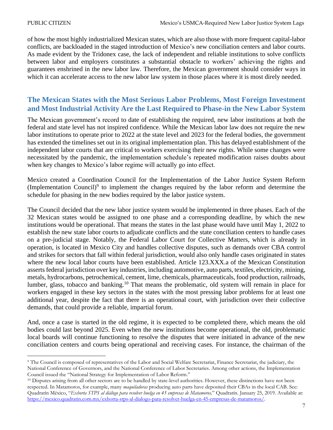of how the most highly industrialized Mexican states, which are also those with more frequent capital-labor conflicts, are backloaded in the staged introduction of Mexico's new conciliation centers and labor courts. As made evident by the Tridonex case, the lack of independent and reliable institutions to solve conflicts between labor and employers constitutes a substantial obstacle to workers' achieving the rights and guarantees enshrined in the new labor law. Therefore, the Mexican government should consider ways in which it can accelerate access to the new labor law system in those places where it is most direly needed.

# **The Mexican States with the Most Serious Labor Problems, Most Foreign Investment and Most Industrial Activity Are the Last Required to Phase-in the New Labor System**

The Mexican government's record to date of establishing the required, new labor institutions at both the federal and state level has not inspired confidence. While the Mexican labor law does not require the new labor institutions to operate prior to 2022 at the state level and 2023 for the federal bodies, the government has extended the timelines set out in its original implementation plan. This has delayed establishment of the independent labor courts that are critical to workers exercising their new rights. While some changes were necessitated by the pandemic, the implementation schedule's repeated modification raises doubts about when key changes to Mexico's labor regime will actually go into effect.

Mexico created a Coordination Council for the Implementation of the Labor Justice System Reform (Implementation Council) $\delta$  to implement the changes required by the labor reform and determine the schedule for phasing in the new bodies required by the labor justice system.

The Council decided that the new labor justice system would be implemented in three phases. Each of the 32 Mexican states would be assigned to one phase and a corresponding deadline, by which the new institutions would be operational. That means the states in the last phase would have until May 1, 2022 to establish the new state labor courts to adjudicate conflicts and the state conciliation centers to handle cases on a pre-judicial stage. Notably, the Federal Labor Court for Collective Matters, which is already in operation, is located in Mexico City and handles collective disputes, such as demands over CBA control and strikes for sectors that fall within federal jurisdiction, would also only handle cases originated in states where the new local labor courts have been established. Article 123.XXX.a of the Mexican Constitution asserts federal jurisdiction over key industries, including automotive, auto parts, textiles, electricity, mining, metals, hydrocarbons, petrochemical, cement, lime, chemicals, pharmaceuticals, food production, railroads, lumber, glass, tobacco and banking.<sup>10</sup> That means the problematic, old system will remain in place for workers engaged in these key sectors in the states with the most pressing labor problems for at least one additional year, despite the fact that there is an operational court, with jurisdiction over their collective demands, that could provide a reliable, impartial forum.

And, once a case is started in the old regime, it is expected to be completed there, which means the old bodies could last beyond 2025. Even when the new institutions become operational, the old, problematic local boards will continue functioning to resolve the disputes that were initiated in advance of the new conciliation centers and courts being operational and receiving cases. For instance, the chairman of the

<sup>9</sup> The Council is composed of representatives of the Labor and Social Welfare Secretariat, Finance Secretariat, the judiciary, the National Conference of Governors, and the National Conference of Labor Secretaries. Among other actions, the Implementation Council issued the "National Strategy for Implementation of Labor Reform."

<sup>&</sup>lt;sup>10</sup> Disputes arising from all other sectors are to be handled by state-level authorities. However, these distinctions have not been respected. In Matamoros, for example, many *maquiladoras* producing auto parts have deposited their CBAs in the local CAB. See: Quadratín México, "*Exhorta STPS al diálogo para resolver huelga en 45 empresas de Matamoros,*" Quadratín. January 25, 2019. Available at: [https://mexico.quadratin.com.mx/exhorta-stps-al-dialogo-para-resolver-huelga-en-45-empresas-de-matamoros/.](https://mexico.quadratin.com.mx/exhorta-stps-al-dialogo-para-resolver-huelga-en-45-empresas-de-matamoros/)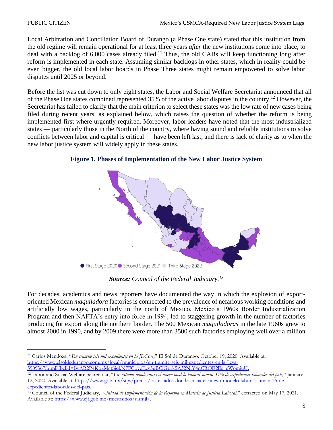Local Arbitration and Conciliation Board of Durango (a Phase One state) stated that this institution from the old regime will remain operational for at least three years *after* the new institutions come into place, to deal with a backlog of  $6,000$  cases already filed.<sup>11</sup> Thus, the old CABs will keep functioning long after reform is implemented in each state. Assuming similar backlogs in other states, which in reality could be even bigger, the old local labor boards in Phase Three states might remain empowered to solve labor disputes until 2025 or beyond.

Before the list was cut down to only eight states, the Labor and Social Welfare Secretariat announced that all of the Phase One states combined represented 35% of the active labor disputes in the country.<sup>12</sup> However, the Secretariat has failed to clarify that the main criterion to select these states was the low rate of new cases being filed during recent years, as explained below, which raises the question of whether the reform is being implemented first where urgently required. Moreover, labor leaders have noted that the most industrialized states — particularly those in the North of the country, where having sound and reliable institutions to solve conflicts between labor and capital is critical — have been left last, and there is lack of clarity as to when the new labor justice system will widely apply in these states.



### **Figure 1. Phases of Implementation of the New Labor Justice System**

*Source: Council of the Federal Judiciary.<sup>13</sup>*

For decades, academics and news reporters have documented the way in which the explosion of exportoriented Mexican *maquiladora* factories is connected to the prevalence of nefarious working conditions and artificially low wages, particularly in the north of Mexico. Mexico's 1960s Border Industrialization Program and then NAFTA's entry into force in 1994, led to staggering growth in the number of factories producing for export along the northern border. The 500 Mexican *maquiladoras* in the late 1960s grew to almost 2000 in 1990, and by 2009 there were more than 3500 such factories employing well over a million

<sup>11</sup> Carlos Mendoza, "*En trámite seis mil expedientes en la JLCyA,*" El Sol de Durango. October 19, 2020. Available at: [https://www.elsoldedurango.com.mx/local/municipios/en-tramite-seis-mil-expedientes-en-la-jlcya-](https://www.elsoldedurango.com.mx/local/municipios/en-tramite-seis-mil-expedientes-en-la-jlcya-5909367.html?fbclid=IwAR2P4KozMgtSjqkN7FCpveEcy5uBCiGprk5A32NtY4nCROE2lIs_cWomjuU)

[<sup>5909367.</sup>html?fbclid=IwAR2P4KozMgtSjqkN7FCpveEcy5uBCiGprk5A32NtY4nCROE2lIs\\_cWomjuU.](https://www.elsoldedurango.com.mx/local/municipios/en-tramite-seis-mil-expedientes-en-la-jlcya-5909367.html?fbclid=IwAR2P4KozMgtSjqkN7FCpveEcy5uBCiGprk5A32NtY4nCROE2lIs_cWomjuU)

<sup>12</sup> Labor and Social Welfare Secretariat, "*Los estados donde inicia el nuevo modelo laboral suman 35% de expedientes laborales del país,*" January 12, 2020. Available at: [https://www.gob.mx/stps/prensa/los-estados-donde-inicia-el-nuevo-modelo-laboral-suman-35-de](https://www.gob.mx/stps/prensa/los-estados-donde-inicia-el-nuevo-modelo-laboral-suman-35-de-expedientes-laborales-del-pais)[expedientes-laborales-del-pais.](https://www.gob.mx/stps/prensa/los-estados-donde-inicia-el-nuevo-modelo-laboral-suman-35-de-expedientes-laborales-del-pais)

<sup>13</sup> Council of the Federal Judiciary, "*Unidad de Implementación de la Reforma en Materia de Justicia Laboral*," extracted on May 17, 2021. Available at: [https://www.cjf.gob.mx/micrositios/uirmjl/.](https://www.cjf.gob.mx/micrositios/uirmjl/)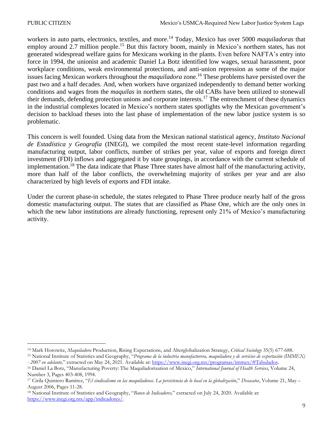workers in auto parts, electronics, textiles, and more.<sup>14</sup> Today, Mexico has over 5000 *maquiladoras* that employ around 2.7 million people.<sup>15</sup> But this factory boom, mainly in Mexico's northern states, has not generated widespread welfare gains for Mexicans working in the plants. Even before NAFTA's entry into force in 1994, the unionist and academic Daniel La Botz identified low wages, sexual harassment, poor workplace conditions, weak environmental protections, and anti-union repression as some of the major issues facing Mexican workers throughout the *maquiladora* zone.<sup>16</sup> These problems have persisted over the past two and a half decades. And, when workers have organized independently to demand better working conditions and wages from the *maquilas* in northern states, the old CABs have been utilized to stonewall their demands, defending protection unions and corporate interests.<sup>17</sup> The entrenchment of these dynamics in the industrial complexes located in Mexico's northern states spotlights why the Mexican government's decision to backload theses into the last phase of implementation of the new labor justice system is so problematic.

This concern is well founded. Using data from the Mexican national statistical agency, *Instituto Nacional de Estadística y Geografía* (INEGI), we compiled the most recent state-level information regarding manufacturing output, labor conflicts, number of strikes per year, value of exports and foreign direct investment (FDI) inflows and aggregated it by state groupings, in accordance with the current schedule of implementation.<sup>18</sup> The data indicate that Phase Three states have almost half of the manufacturing activity, more than half of the labor conflicts, the overwhelming majority of strikes per year and are also characterized by high levels of exports and FDI intake.

Under the current phase-in schedule, the states relegated to Phase Three produce nearly half of the gross domestic manufacturing output. The states that are classified as Phase One, which are the only ones in which the new labor institutions are already functioning, represent only 21% of Mexico's manufacturing activity.

<sup>14</sup> Mark Horowitz, *Maquiladora* Production, Rising Expectations, and Alterglobalization Strategy, *Critical Sociology* 35(5) 677-688.

<sup>15</sup> National Institute of Statistics and Geography, "*Programa de la industria manufacturera, maquiladora y de servicios de exportación (IMMEX) - 2007 en adelante,*" extracted on May 24, 2021. Available at[: https://www.inegi.org.mx/programas/immex/#Tabulados.](https://www.inegi.org.mx/programas/immex/#Tabulados)

<sup>16</sup> Daniel La Botz, "Manufacturing Poverty: The Maquiladorization of Mexico," *International Journal of Health Services*, Volume 24, Number 3, Pages 403-408, 1994.

<sup>17</sup> Cirila Quintero Ramírez, "*El sindicalismo en las maquiladoras. La persistencia de lo local en la globalización*," *Desacatos*, Volume 21, May – August 2006, Pages 11-28.

<sup>18</sup> National Institute of Statistics and Geography, "*Banco de Indicadores,*" extracted on July 24, 2020. Available at: [https://www.inegi.org.mx/app/indicadores/.](https://www.inegi.org.mx/app/indicadores/)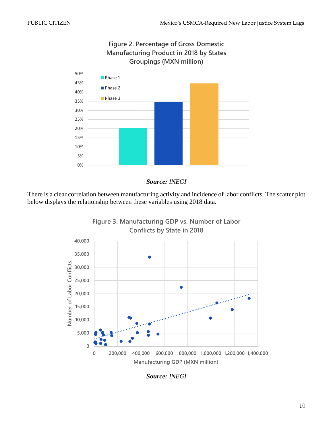

**Figure 2. Percentage of Gross Domestic Manufacturing Product in 2018 by States Groupings (MXN million)**

### *Source: INEGI*

There is a clear correlation between manufacturing activity and incidence of labor conflicts. The scatter plot below displays the relationship between these variables using 2018 data.



*Source: INEGI*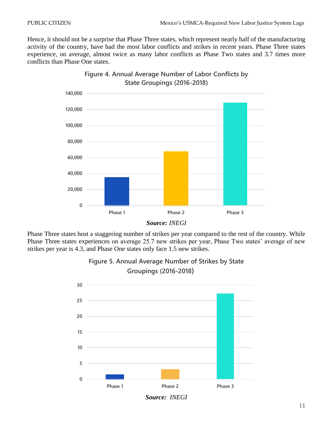Hence, it should not be a surprise that Phase Three states, which represent nearly half of the manufacturing activity of the country, have had the most labor conflicts and strikes in recent years. Phase Three states experience, on average, almost twice as many labor conflicts as Phase Two states and 3.7 times more conflicts than Phase One states.



**Figure 4. Annual Average Number of Labor Conflicts by State Groupings (2016-2018)**

Phase Three states host a staggering number of strikes per year compared to the rest of the country. While Phase Three states experiences on average 25.7 new strikes per year, Phase Two states' average of new strikes per year is 4.3, and Phase One states only face 1.5 new strikes.



**Figure 5. Annual Average Number of Strikes by State Groupings (2016-2018)**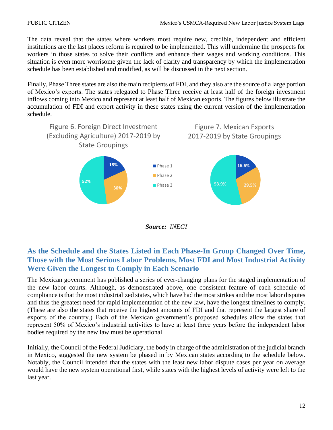The data reveal that the states where workers most require new, credible, independent and efficient institutions are the last places reform is required to be implemented. This will undermine the prospects for workers in those states to solve their conflicts and enhance their wages and working conditions. This situation is even more worrisome given the lack of clarity and transparency by which the implementation schedule has been established and modified, as will be discussed in the next section.

Finally, Phase Three states are also the main recipients of FDI, and they also are the source of a large portion of Mexico's exports. The states relegated to Phase Three receive at least half of the foreign investment inflows coming into Mexico and represent at least half of Mexican exports. The figures below illustrate the accumulation of FDI and export activity in these states using the current version of the implementation schedule.



*Source: INEGI*

# **As the Schedule and the States Listed in Each Phase-In Group Changed Over Time, Those with the Most Serious Labor Problems, Most FDI and Most Industrial Activity Were Given the Longest to Comply in Each Scenario**

The Mexican government has published a series of ever-changing plans for the staged implementation of the new labor courts. Although, as demonstrated above, one consistent feature of each schedule of compliance is that the most industrialized states, which have had the most strikes and the most labor disputes and thus the greatest need for rapid implementation of the new law, have the longest timelines to comply. (These are also the states that receive the highest amounts of FDI and that represent the largest share of exports of the country.) Each of the Mexican government's proposed schedules allow the states that represent 50% of Mexico's industrial activities to have at least three years before the independent labor bodies required by the new law must be operational.

Initially, the Council of the Federal Judiciary, the body in charge of the administration of the judicial branch in Mexico, suggested the new system be phased in by Mexican states according to the schedule below. Notably, the Council intended that the states with the least new labor dispute cases per year on average would have the new system operational first, while states with the highest levels of activity were left to the last year.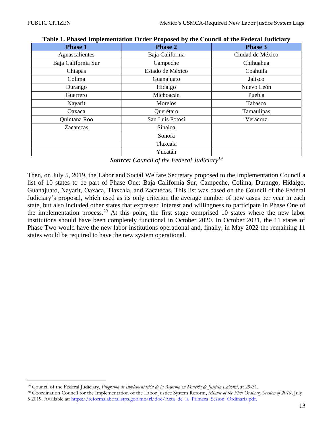| <b>Phase 1</b>      | <b>Phase 2</b>   | <b>Phase 3</b>   |  |
|---------------------|------------------|------------------|--|
| Aguascalientes      | Baja California  | Ciudad de México |  |
| Baja California Sur | Campeche         | Chihuahua        |  |
| Chiapas             | Estado de México | Coahuila         |  |
| Colima              | Guanajuato       | Jalisco          |  |
| Durango             | Hidalgo          | Nuevo León       |  |
| Guerrero            | Michoacán        | Puebla           |  |
| Nayarit             | Morelos          | Tabasco          |  |
| Oaxaca              | Querétaro        | Tamaulipas       |  |
| Quintana Roo        | San Luís Potosí  | Veracruz         |  |
| Zacatecas           | Sinaloa          |                  |  |
|                     | Sonora           |                  |  |
|                     | Tlaxcala         |                  |  |
|                     | Yucatán          |                  |  |

#### **Table 1. Phased Implementation Order Proposed by the Council of the Federal Judiciary**

*Source: Council of the Federal Judiciary<sup>19</sup>*

Then, on July 5, 2019, the Labor and Social Welfare Secretary proposed to the Implementation Council a list of 10 states to be part of Phase One: Baja California Sur, Campeche, Colima, Durango, Hidalgo, Guanajuato, Nayarit, Oaxaca, Tlaxcala, and Zacatecas. This list was based on the Council of the Federal Judiciary's proposal, which used as its only criterion the average number of new cases per year in each state, but also included other states that expressed interest and willingness to participate in Phase One of the implementation process.<sup>20</sup> At this point, the first stage comprised 10 states where the new labor institutions should have been completely functional in October 2020. In October 2021, the 11 states of Phase Two would have the new labor institutions operational and, finally, in May 2022 the remaining 11 states would be required to have the new system operational.

<sup>19</sup> Council of the Federal Judiciary, *Programa de Implementación de la Reforma en Materia de Justicia Laboral*, at 29-31.

<sup>20</sup> Coordination Council for the Implementation of the Labor Justice System Reform, *Minute of the First Ordinary Session of 2019*, July 5 2019. Available at: [https://reformalaboral.stps.gob.mx/rl/doc/Acta\\_de\\_la\\_Primera\\_Sesion\\_Ordinaria.pdf.](https://reformalaboral.stps.gob.mx/rl/doc/Acta_de_la_Primera_Sesion_Ordinaria.pdf)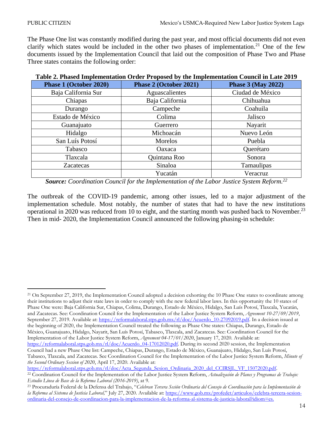The Phase One list was constantly modified during the past year, and most official documents did not even clarify which states would be included in the other two phases of implementation.<sup>21</sup> One of the few documents issued by the Implementation Council that laid out the composition of Phase Two and Phase Three states contains the following order:

| Phase 1 (October 2020) | Phase 2 (October 2021)       | <b>Phase 3 (May 2022)</b> |  |
|------------------------|------------------------------|---------------------------|--|
| Baja California Sur    | Aguascalientes               | Ciudad de México          |  |
| Chiapas                | Baja California<br>Chihuahua |                           |  |
| Durango                | Campeche<br>Coahuila         |                           |  |
| Estado de México       | Colima                       | Jalisco                   |  |
| Guanajuato             | Guerrero                     | Nayarit                   |  |
| Hidalgo                | Michoacán                    | Nuevo León                |  |
| San Luís Potosí        | Morelos                      | Puebla                    |  |
| Tabasco                | Oaxaca                       | Querétaro                 |  |
| Tlaxcala               | Quintana Roo                 | Sonora                    |  |
| <b>Zacatecas</b>       | Sinaloa                      | <b>Tamaulipas</b>         |  |
|                        | Yucatán                      | Veracruz                  |  |

#### **Table 2. Phased Implementation Order Proposed by the Implementation Council in Late 2019**

*Source: Coordination Council for the Implementation of the Labor Justice System Reform.<sup>22</sup>*

The outbreak of the COVID-19 pandemic, among other issues, led to a major adjustment of the implementation schedule. Most notably, the number of states that had to have the new institutions operational in 2020 was reduced from 10 to eight, and the starting month was pushed back to November.<sup>23</sup> Then in mid- 2020, the Implementation Council announced the following phasing-in schedule:

*the Second Ordinary Session of 2020*, April 17, 2020. Available at: [https://reformalaboral.stps.gob.mx/rl/doc/Acta\\_Segunda\\_Sesion\\_Ordinaria\\_2020\\_del\\_CCIRSJL\\_VF\\_15072020.pdf.](https://reformalaboral.stps.gob.mx/rl/doc/Acta_Segunda_Sesion_Ordinaria_2020_del_CCIRSJL_VF_15072020.pdf) <sup>22</sup> Coordination Council for the Implementation of the Labor Justice System Reform, *Actualización de Planes y Programas de Trabajo: Estudio Línea de Base de la Reforma Laboral (2016-2019)*, at 9.

<sup>&</sup>lt;sup>21</sup> On September 27, 2019, the Implementation Council adopted a decision exhorting the 10 Phase One states to coordinate among their institutions to adjust their state laws in order to comply with the new federal labor laws. In this opportunity the 10 states of Phase One were: Baja California Sur, Chiapas, Colima, Durango, Estado de México, Hidalgo, San Luís Potosí, Tlaxcala, Yucatán, and Zacatecas. See: Coordination Council for the Implementation of the Labor Justice System Reform, *Agreement 10-27/09/2019*, September 27, 2019. Available at[: https://reformalaboral.stps.gob.mx/rl/doc/Acuerdo\\_10-27092019.pdf.](https://reformalaboral.stps.gob.mx/rl/doc/Acuerdo_10-27092019.pdf) In a decision issued at the beginning of 2020, the Implementation Council treated the following as Phase One states: Chiapas, Durango, Estado de México, Guanajuato, Hidalgo, Nayarit, San Luís Potosí, Tabasco, Tlaxcala, and Zacatecas. See: Coordination Council for the Implementation of the Labor Justice System Reform, *Agreement 04-17/01/2020*, January 17, 2020. Available at: [https://reformalaboral.stps.gob.mx/rl/doc/Acuerdo\\_04-17012020.pdf.](https://reformalaboral.stps.gob.mx/rl/doc/Acuerdo_04-17012020.pdf) During its second 2020 session, the Implementation Council had a new Phase One list: Campeche, Chiapas, Durango, Estado de México, Guanajuato, Hidalgo, San Luís Potosí, Tabasco, Tlaxcala, and Zacatecas. See Coordination Council for the Implementation of the Labor Justice System Reform, *Minute of* 

<sup>23</sup> Procuraduría Federal de la Defensa del Trabajo, "*Celebran Tercera Sesión Ordinaria del Consejo de Coordinación para la Implementación de la Reforma al Sistema de Justicia Laboral,*" July 27, 2020. Available at: [https://www.gob.mx/profedet/articulos/celebra-tercera-sesion](https://www.gob.mx/profedet/articulos/celebra-tercera-sesion-ordinaria-del-consejo-de-coordinacion-para-la-implementacion-de-la-reforma-al-sistema-de-justicia-laboral?idiom=es)[ordinaria-del-consejo-de-coordinacion-para-la-implementacion-de-la-reforma-al-sistema-de-justicia-laboral?idiom=es.](https://www.gob.mx/profedet/articulos/celebra-tercera-sesion-ordinaria-del-consejo-de-coordinacion-para-la-implementacion-de-la-reforma-al-sistema-de-justicia-laboral?idiom=es)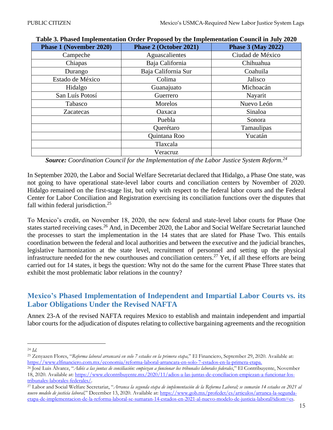| <b>Phase 1 (November 2020)</b> | Phase 2 (October 2021)          | <b>Phase 3 (May 2022)</b> |  |
|--------------------------------|---------------------------------|---------------------------|--|
| Campeche                       | Aguascalientes                  | Ciudad de México          |  |
| Chiapas                        | Baja California                 | Chihuahua                 |  |
| Durango                        | Baja California Sur<br>Coahuila |                           |  |
| Estado de México               | Colima                          | Jalisco                   |  |
| Hidalgo                        | Michoacán<br>Guanajuato         |                           |  |
| San Luís Potosí                | Guerrero                        | Nayarit                   |  |
| Tabasco                        | Morelos                         | Nuevo León                |  |
| <b>Zacatecas</b>               | Oaxaca                          | Sinaloa                   |  |
|                                | Puebla                          | Sonora                    |  |
|                                | Querétaro                       | Tamaulipas                |  |
|                                | Quintana Roo                    | Yucatán                   |  |
|                                | Tlaxcala                        |                           |  |
|                                | Veracruz                        |                           |  |

| Table 3. Phased Implementation Order Proposed by the Implementation Council in July 2020 |  |  |  |  |
|------------------------------------------------------------------------------------------|--|--|--|--|
|------------------------------------------------------------------------------------------|--|--|--|--|

*Source: Coordination Council for the Implementation of the Labor Justice System Reform.<sup>24</sup>*

In September 2020, the Labor and Social Welfare Secretariat declared that Hidalgo, a Phase One state, was not going to have operational state-level labor courts and conciliation centers by November of 2020. Hidalgo remained on the first-stage list, but only with respect to the federal labor courts and the Federal Center for Labor Conciliation and Registration exercising its conciliation functions over the disputes that fall within federal jurisdiction.<sup>25</sup>

To Mexico's credit, on November 18, 2020, the new federal and state-level labor courts for Phase One states started receiving cases.<sup>26</sup> And, in December 2020, the Labor and Social Welfare Secretariat launched the processes to start the implementation in the 14 states that are slated for Phase Two. This entails coordination between the federal and local authorities and between the executive and the judicial branches, legislative harmonization at the state level, recruitment of personnel and setting up the physical infrastructure needed for the new courthouses and conciliation centers. <sup>27</sup> Yet, if all these efforts are being carried out for 14 states, it begs the question: Why not do the same for the current Phase Three states that exhibit the most problematic labor relations in the country?

# **Mexico's Phased Implementation of Independent and Impartial Labor Courts vs. its Labor Obligations Under the Revised NAFTA**

Annex 23-A of the revised NAFTA requires Mexico to establish and maintain independent and impartial labor courts for the adjudication of disputes relating to collective bargaining agreements and the recognition

<sup>24</sup> *Id.*

<sup>25</sup> Zenyazen Flores, "*Reforma laboral arrancará en solo 7 estados en la primera etapa,*" El Financiero, September 29, 2020. Available at: [https://www.elfinanciero.com.mx/economia/reforma-laboral-arrancara-en-solo-7-estados-en-la-primera-etapa.](https://www.elfinanciero.com.mx/economia/reforma-laboral-arrancara-en-solo-7-estados-en-la-primera-etapa)

<sup>26</sup> José Luis Álvarez, "*Adiós a las juntas de conciliación: empiezan a funcionar los tribunales laborales federales*," El Contribuyente, November 18, 2020. Available at: [https://www.elcontribuyente.mx/2020/11/adios-a-las-juntas-de-conciliacion-empiezan-a-funcionar-los](https://www.elcontribuyente.mx/2020/11/adios-a-las-juntas-de-conciliacion-empiezan-a-funcionar-los-tribunales-laborales-federales/)[tribunales-laborales-federales/.](https://www.elcontribuyente.mx/2020/11/adios-a-las-juntas-de-conciliacion-empiezan-a-funcionar-los-tribunales-laborales-federales/) 

<sup>27</sup> Labor and Social Welfare Secretariat, "*Arranca la segunda etapa de implementación de la Reforma Laboral; se sumarán 14 estados en 2021 al nuevo modelo de justicia laboral,*" December 13, 2020. Available at: [https://www.gob.mx/profedet/es/articulos/arranca-la-segunda](https://www.gob.mx/profedet/es/articulos/arranca-la-segunda-etapa-de-implementacion-de-la-reforma-laboral-se-sumaran-14-estados-en-2021-al-nuevo-modelo-de-justicia-laboral?idiom=es)[etapa-de-implementacion-de-la-reforma-laboral-se-sumaran-14-estados-en-2021-al-nuevo-modelo-de-justicia-laboral?idiom=es.](https://www.gob.mx/profedet/es/articulos/arranca-la-segunda-etapa-de-implementacion-de-la-reforma-laboral-se-sumaran-14-estados-en-2021-al-nuevo-modelo-de-justicia-laboral?idiom=es)